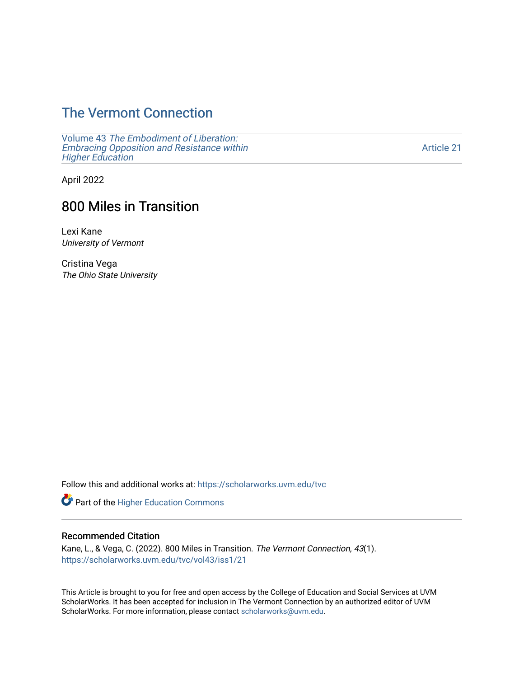## [The Vermont Connection](https://scholarworks.uvm.edu/tvc)

Volume 43 [The Embodiment of Liberation:](https://scholarworks.uvm.edu/tvc/vol43) [Embracing Opposition and Resistance within](https://scholarworks.uvm.edu/tvc/vol43)  **Higher Education** 

[Article 21](https://scholarworks.uvm.edu/tvc/vol43/iss1/21) 

April 2022

# 800 Miles in Transition

Lexi Kane University of Vermont

Cristina Vega The Ohio State University

Follow this and additional works at: [https://scholarworks.uvm.edu/tvc](https://scholarworks.uvm.edu/tvc?utm_source=scholarworks.uvm.edu%2Ftvc%2Fvol43%2Fiss1%2F21&utm_medium=PDF&utm_campaign=PDFCoverPages)

Part of the [Higher Education Commons](http://network.bepress.com/hgg/discipline/1245?utm_source=scholarworks.uvm.edu%2Ftvc%2Fvol43%2Fiss1%2F21&utm_medium=PDF&utm_campaign=PDFCoverPages) 

### Recommended Citation

Kane, L., & Vega, C. (2022). 800 Miles in Transition. The Vermont Connection, 43(1). [https://scholarworks.uvm.edu/tvc/vol43/iss1/21](https://scholarworks.uvm.edu/tvc/vol43/iss1/21?utm_source=scholarworks.uvm.edu%2Ftvc%2Fvol43%2Fiss1%2F21&utm_medium=PDF&utm_campaign=PDFCoverPages)

This Article is brought to you for free and open access by the College of Education and Social Services at UVM ScholarWorks. It has been accepted for inclusion in The Vermont Connection by an authorized editor of UVM ScholarWorks. For more information, please contact [scholarworks@uvm.edu](mailto:scholarworks@uvm.edu).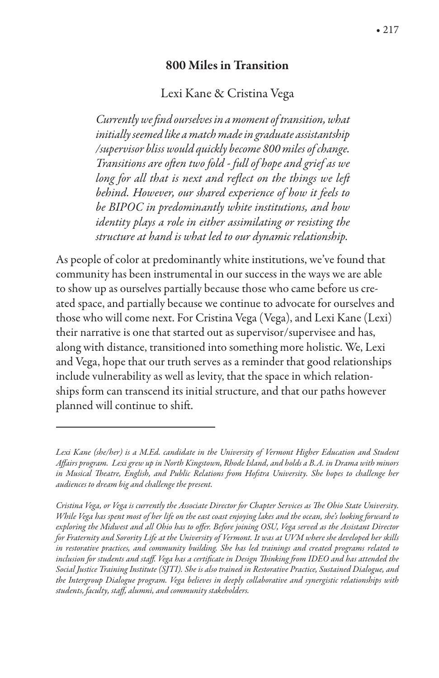#### 800 Miles in Transition

#### Lexi Kane & Cristina Vega

*Currently we* \$*nd oursel*v*es in a moment of transition, what initially seemed like a match made in graduate assistantship /supervisor bliss would quickly become 800 miles of change. Transitions are o*&*en two fold - full of hope and grief as we long for all that is next and reflect on the things we left behind. However, our shared experience of how it feels to be BIPOC in predominantly white institutions, and how identity plays a role in either assimilating or resisting the structure at hand is what led to our dynamic relationship.*

As people of color at predominantly white institutions, we've found that community has been instrumental in our success in the ways we are able to show up as ourselves partially because those who came before us created space, and partially because we continue to advocate for ourselves and those who will come next. For Cristina Vega (Vega), and Lexi Kane (Lexi) their narrative is one that started out as supervisor/supervisee and has, along with distance, transitioned into something more holistic. We, Lexi and Vega, hope that our truth serves as a reminder that good relationships include vulnerability as well as levity, that the space in which relationships form can transcend its initial structure, and that our paths however planned will continue to shift.

Lexi Kane (she/her) is a M.Ed. candidate in the University of Vermont Higher Education and Student *A*"*airs program. Lexi grew up in North Kingstown, Rhode Island, and holds a B.A. in Drama with minors in Musical* !*eatre, English, and Public Relations* #*om Hofstra University. She hopes to challenge her audiences to dream big and challenge the present.*

*Cristina Vega, or Vega is currently the Associate Director for Chapter Services as The Ohio State University. While Vega has spent most of her life on the east coast enjoying lakes and the ocean, she's looking forward to exploring the Midwest and all Ohio has to o*"*er. Before joining OSU, Vega served as the Assistant Director for Fraternity and Sorority Life at the University of Vermont. It was at UVM where she developed her skills in restorative practices, and community building. She has led trainings and created programs related to*  inclusion for students and staff. Vega has a certificate in Design Thinking from IDEO and has attended the *Social Justice Training Institute (SJTI). She is also trained in Restorative Practice, Sustained Dialogue, and the Intergroup Dialogue program. Vega believes in deeply collaborative and synergistic relationships with students, faculty, sta*"*, alumni, and community stakeholders.*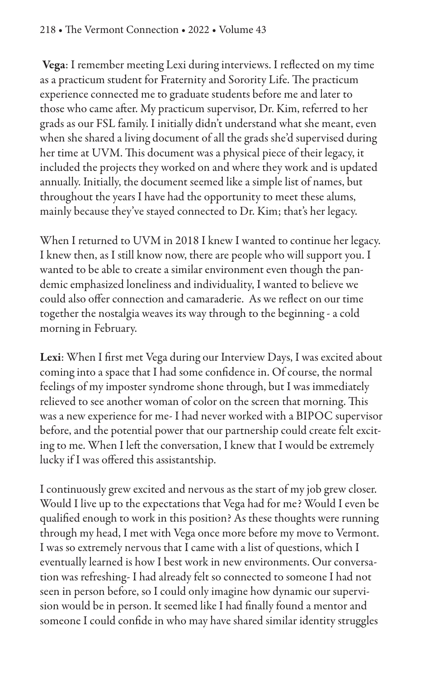Vega: I remember meeting Lexi during interviews. I reflected on my time as a practicum student for Fraternity and Sorority Life. The practicum experience connected me to graduate students before me and later to those who came after. My practicum supervisor, Dr. Kim, referred to her grads as our FSL family. I initially didn't understand what she meant, even when she shared a living document of all the grads she'd supervised during her time at UVM. This document was a physical piece of their legacy, it included the projects they worked on and where they work and is updated annually. Initially, the document seemed like a simple list of names, but throughout the years I have had the opportunity to meet these alums, mainly because they've stayed connected to Dr. Kim; that's her legacy.

When I returned to UVM in 2018 I knew I wanted to continue her legacy. I knew then, as I still know now, there are people who will support you. I wanted to be able to create a similar environment even though the pandemic emphasized loneliness and individuality, I wanted to believe we could also offer connection and camaraderie. As we reflect on our time together the nostalgia weaves its way through to the beginning - a cold morning in February.

Lexi: When I first met Vega during our Interview Days, I was excited about coming into a space that I had some confidence in. Of course, the normal feelings of my imposter syndrome shone through, but I was immediately relieved to see another woman of color on the screen that morning. This was a new experience for me- I had never worked with a BIPOC supervisor before, and the potential power that our partnership could create felt exciting to me. When I left the conversation, I knew that I would be extremely lucky if I was offered this assistantship.

I continuously grew excited and nervous as the start of my job grew closer. Would I live up to the expectations that Vega had for me? Would I even be qualified enough to work in this position? As these thoughts were running through my head, I met with Vega once more before my move to Vermont. I was so extremely nervous that I came with a list of questions, which I eventually learned is how I best work in new environments. Our conversation was refreshing- I had already felt so connected to someone I had not seen in person before, so I could only imagine how dynamic our supervision would be in person. It seemed like I had finally found a mentor and someone I could confide in who may have shared similar identity struggles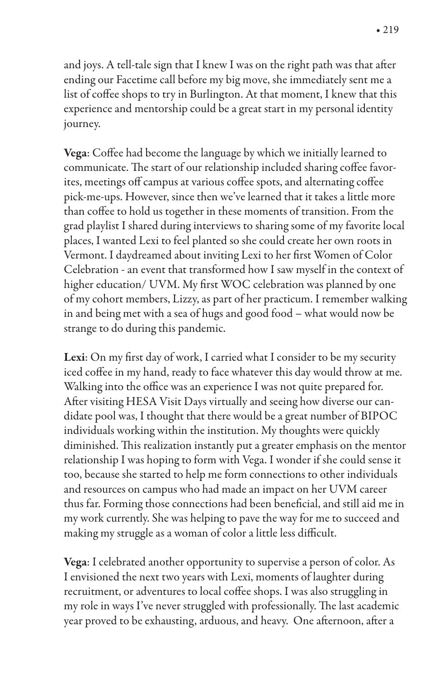and joys. A tell-tale sign that I knew I was on the right path was that after ending our Facetime call before my big move, she immediately sent me a list of coffee shops to try in Burlington. At that moment, I knew that this experience and mentorship could be a great start in my personal identity journey.

Vega: Coffee had become the language by which we initially learned to communicate. The start of our relationship included sharing coffee favorites, meetings off campus at various coffee spots, and alternating coffee pick-me-ups. However, since then we've learned that it takes a little more than coffee to hold us together in these moments of transition. From the grad playlist I shared during interviews to sharing some of my favorite local places, I wanted Lexi to feel planted so she could create her own roots in Vermont. I daydreamed about inviting Lexi to her first Women of Color Celebration - an event that transformed how I saw myself in the context of higher education/ UVM. My first WOC celebration was planned by one of my cohort members, Lizzy, as part of her practicum. I remember walking in and being met with a sea of hugs and good food – what would now be strange to do during this pandemic.

Lexi: On my first day of work, I carried what I consider to be my security iced coffee in my hand, ready to face whatever this day would throw at me. Walking into the office was an experience I was not quite prepared for. After visiting HESA Visit Days virtually and seeing how diverse our candidate pool was, I thought that there would be a great number of BIPOC individuals working within the institution. My thoughts were quickly diminished. This realization instantly put a greater emphasis on the mentor relationship I was hoping to form with Vega. I wonder if she could sense it too, because she started to help me form connections to other individuals and resources on campus who had made an impact on her UVM career thus far. Forming those connections had been beneficial, and still aid me in my work currently. She was helping to pave the way for me to succeed and making my struggle as a woman of color a little less difficult.

Vega: I celebrated another opportunity to supervise a person of color. As I envisioned the next two years with Lexi, moments of laughter during recruitment, or adventures to local coffee shops. I was also struggling in my role in ways I've never struggled with professionally. The last academic year proved to be exhausting, arduous, and heavy. One afternoon, after a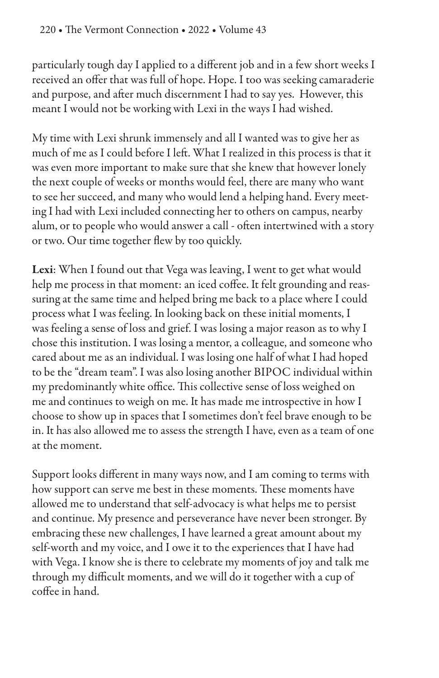particularly tough day I applied to a different job and in a few short weeks I received an offer that was full of hope. Hope. I too was seeking camaraderie and purpose, and after much discernment I had to say yes. However, this meant I would not be working with Lexi in the ways I had wished.

My time with Lexi shrunk immensely and all I wanted was to give her as much of me as I could before I left. What I realized in this process is that it was even more important to make sure that she knew that however lonely the next couple of weeks or months would feel, there are many who want to see her succeed, and many who would lend a helping hand. Every meeting I had with Lexi included connecting her to others on campus, nearby alum, or to people who would answer a call - often intertwined with a story or two. Our time together flew by too quickly.

Lexi: When I found out that Vega was leaving, I went to get what would help me process in that moment: an iced coffee. It felt grounding and reassuring at the same time and helped bring me back to a place where I could process what I was feeling. In looking back on these initial moments, I was feeling a sense of loss and grief. I was losing a major reason as to why I chose this institution. I was losing a mentor, a colleague, and someone who cared about me as an individual. I was losing one half of what I had hoped to be the "dream team". I was also losing another BIPOC individual within my predominantly white office. This collective sense of loss weighed on me and continues to weigh on me. It has made me introspective in how I choose to show up in spaces that I sometimes don't feel brave enough to be in. It has also allowed me to assess the strength I have, even as a team of one at the moment.

Support looks different in many ways now, and I am coming to terms with how support can serve me best in these moments. These moments have allowed me to understand that self-advocacy is what helps me to persist and continue. My presence and perseverance have never been stronger. By embracing these new challenges, I have learned a great amount about my self-worth and my voice, and I owe it to the experiences that I have had with Vega. I know she is there to celebrate my moments of joy and talk me through my difficult moments, and we will do it together with a cup of coffee in hand.